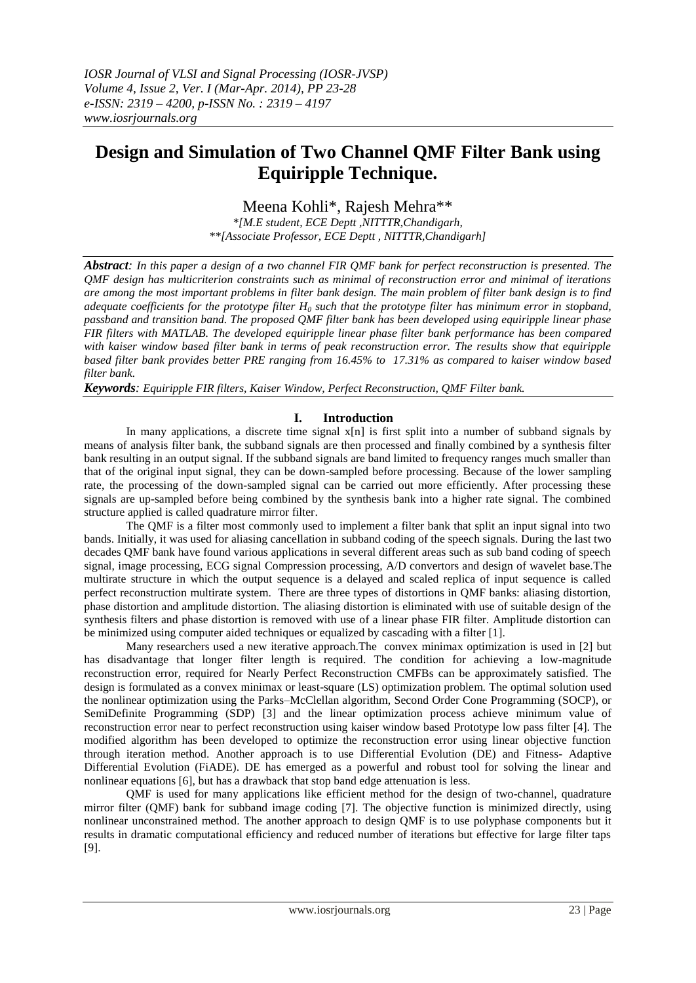# **Design and Simulation of Two Channel QMF Filter Bank using Equiripple Technique.**

Meena Kohli\*, Rajesh Mehra\*\*

*\*[M.E student, ECE Deptt ,NITTTR,Chandigarh, \*\*[Associate Professor, ECE Deptt , NITTTR,Chandigarh]*

*Abstract: In this paper a design of a two channel FIR QMF bank for perfect reconstruction is presented. The QMF design has multicriterion constraints such as minimal of reconstruction error and minimal of iterations are among the most important problems in filter bank design. The main problem of filter bank design is to find adequate coefficients for the prototype filter H<sup>0</sup> such that the prototype filter has minimum error in stopband, passband and transition band. The proposed QMF filter bank has been developed using equiripple linear phase FIR filters with MATLAB. The developed equiripple linear phase filter bank performance has been compared with kaiser window based filter bank in terms of peak reconstruction error. The results show that equiripple based filter bank provides better PRE ranging from 16.45% to 17.31% as compared to kaiser window based filter bank.*

*Keywords: Equiripple FIR filters, Kaiser Window, Perfect Reconstruction, QMF Filter bank.*

# **I. Introduction**

In many applications, a discrete time signal  $x[n]$  is first split into a number of subband signals by means of analysis filter bank, the subband signals are then processed and finally combined by a synthesis filter bank resulting in an output signal. If the subband signals are band limited to frequency ranges much smaller than that of the original input signal, they can be down-sampled before processing. Because of the lower sampling rate, the processing of the down-sampled signal can be carried out more efficiently. After processing these signals are up-sampled before being combined by the synthesis bank into a higher rate signal. The combined structure applied is called quadrature mirror filter.

The QMF is a filter most commonly used to implement a filter bank that split an input signal into two bands. Initially, it was used for aliasing cancellation in subband coding of the speech signals. During the last two decades QMF bank have found various applications in several different areas such as sub band coding of speech signal, image processing, ECG signal Compression processing, A/D convertors and design of wavelet base.The multirate structure in which the output sequence is a delayed and scaled replica of input sequence is called perfect reconstruction multirate system. There are three types of distortions in QMF banks: aliasing distortion, phase distortion and amplitude distortion. The aliasing distortion is eliminated with use of suitable design of the synthesis filters and phase distortion is removed with use of a linear phase FIR filter. Amplitude distortion can be minimized using computer aided techniques or equalized by cascading with a filter [1].

Many researchers used a new iterative approach.The convex minimax optimization is used in [2] but has disadvantage that longer filter length is required. The condition for achieving a low-magnitude reconstruction error, required for Nearly Perfect Reconstruction CMFBs can be approximately satisfied. The design is formulated as a convex minimax or least-square (LS) optimization problem. The optimal solution used the nonlinear optimization using the Parks–McClellan algorithm, Second Order Cone Programming (SOCP), or SemiDefinite Programming (SDP) [3] and the linear optimization process achieve minimum value of reconstruction error near to perfect reconstruction using kaiser window based Prototype low pass filter [4]. The modified algorithm has been developed to optimize the reconstruction error using linear objective function through iteration method. Another approach is to use Differential Evolution (DE) and Fitness- Adaptive Differential Evolution (FiADE). DE has emerged as a powerful and robust tool for solving the linear and nonlinear equations [6], but has a drawback that stop band edge attenuation is less.

QMF is used for many applications like efficient method for the design of two-channel, quadrature mirror filter (QMF) bank for subband image coding [7]. The objective function is minimized directly, using nonlinear unconstrained method. The another approach to design QMF is to use polyphase components but it results in dramatic computational efficiency and reduced number of iterations but effective for large filter taps [9].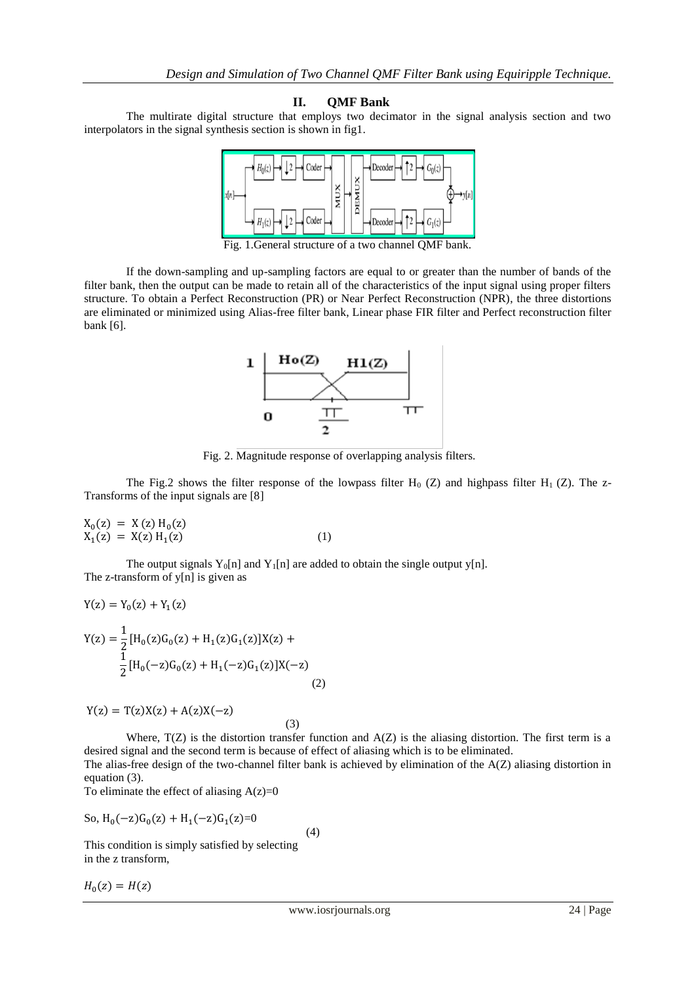## **II. QMF Bank**

The multirate digital structure that employs two decimator in the signal analysis section and two interpolators in the signal synthesis section is shown in fig1.



Fig. 1.General structure of a two channel QMF bank.

If the down-sampling and up-sampling factors are equal to or greater than the number of bands of the filter bank, then the output can be made to retain all of the characteristics of the input signal using proper filters structure. To obtain a Perfect Reconstruction (PR) or Near Perfect Reconstruction (NPR), the three distortions are eliminated or minimized using Alias-free filter bank, Linear phase FIR filter and Perfect reconstruction filter bank [6].



Fig. 2. Magnitude response of overlapping analysis filters.

The Fig.2 shows the filter response of the lowpass filter  $H_0$  (Z) and highpass filter  $H_1$  (Z). The z-Transforms of the input signals are [8]

$$
X_0(z) = X(z) H_0(z)
$$
  
\n
$$
X_1(z) = X(z) H_1(z)
$$
 (1)

The output signals  $Y_0[n]$  and  $Y_1[n]$  are added to obtain the single output y[n]. The z-transform of  $y[n]$  is given as

$$
Y(z) = Y_0(z) + Y_1(z)
$$
  
\n
$$
Y(z) = \frac{1}{2} [H_0(z)G_0(z) + H_1(z)G_1(z)]X(z) + \frac{1}{2} [H_0(-z)G_0(z) + H_1(-z)G_1(z)]X(-z)
$$
\n(2)

$$
Y(z) = T(z)X(z) + A(z)X(-z)
$$
\n(3)

Where,  $T(Z)$  is the distortion transfer function and  $A(Z)$  is the aliasing distortion. The first term is a desired signal and the second term is because of effect of aliasing which is to be eliminated.

The alias-free design of the two-channel filter bank is achieved by elimination of the  $A(Z)$  aliasing distortion in equation (3).

To eliminate the effect of aliasing  $A(z)=0$ 

So, 
$$
H_0(-z)G_0(z) + H_1(-z)G_1(z)=0
$$
 (4)

This condition is simply satisfied by selecting in the z transform,

 $H_0($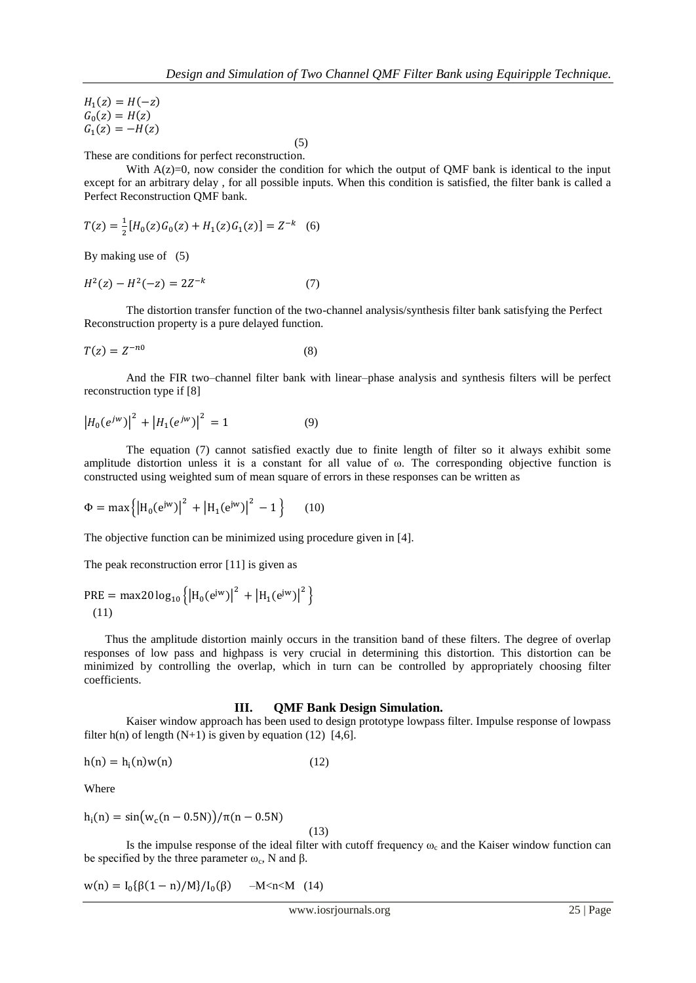$H_1($  $G_0($  $G_1($ 

 $(5)$ These are conditions for perfect reconstruction.

With  $A(z)=0$ , now consider the condition for which the output of QMF bank is identical to the input except for an arbitrary delay , for all possible inputs. When this condition is satisfied, the filter bank is called a Perfect Reconstruction QMF bank.

$$
T(z) = \frac{1}{2} [H_0(z) G_0(z) + H_1(z) G_1(z)] = Z^{-k} \quad (6)
$$

By making use of (5)

$$
H^2(z) - H^2(-z) = 2Z^{-k} \tag{7}
$$

The distortion transfer function of the two-channel analysis/synthesis filter bank satisfying the Perfect Reconstruction property is a pure delayed function.

$$
T(z) = Z^{-n0} \tag{8}
$$

And the FIR two–channel filter bank with linear–phase analysis and synthesis filters will be perfect reconstruction type if [8]

$$
|H_0(e^{jw})|^2 + |H_1(e^{jw})|^2 = 1
$$
 (9)

The equation (7) cannot satisfied exactly due to finite length of filter so it always exhibit some amplitude distortion unless it is a constant for all value of ω. The corresponding objective function is constructed using weighted sum of mean square of errors in these responses can be written as

$$
\Phi = \max \left\{ \left| H_0(e^{jw}) \right|^2 + \left| H_1(e^{jw}) \right|^2 - 1 \right\} \tag{10}
$$

The objective function can be minimized using procedure given in [4].

The peak reconstruction error [11] is given as

$$
PRE = \max 20 \log_{10} ([H_0(e^{jw})]^2 + |H_1(e^{jw})|^2)
$$
\n(11)

Thus the amplitude distortion mainly occurs in the transition band of these filters. The degree of overlap responses of low pass and highpass is very crucial in determining this distortion. This distortion can be minimized by controlling the overlap, which in turn can be controlled by appropriately choosing filter coefficients.

#### **III. QMF Bank Design Simulation.**

Kaiser window approach has been used to design prototype lowpass filter. Impulse response of lowpass filter  $h(n)$  of length  $(N+1)$  is given by equation (12) [4,6].

$$
h(n) = hi(n)w(n)
$$
 (12)

Where

$$
h_i(n) = \frac{\sin(w_c(n - 0.5N))}{\pi(n - 0.5N)}
$$

(13)

Is the impulse response of the ideal filter with cutoff frequency  $\omega_c$  and the Kaiser window function can be specified by the three parameter  $\omega_c$ , N and  $\beta$ .

$$
w(n) = I_0\{\beta(1-n)/M\}/I_0(\beta) \quad -M < n < M \quad (14)
$$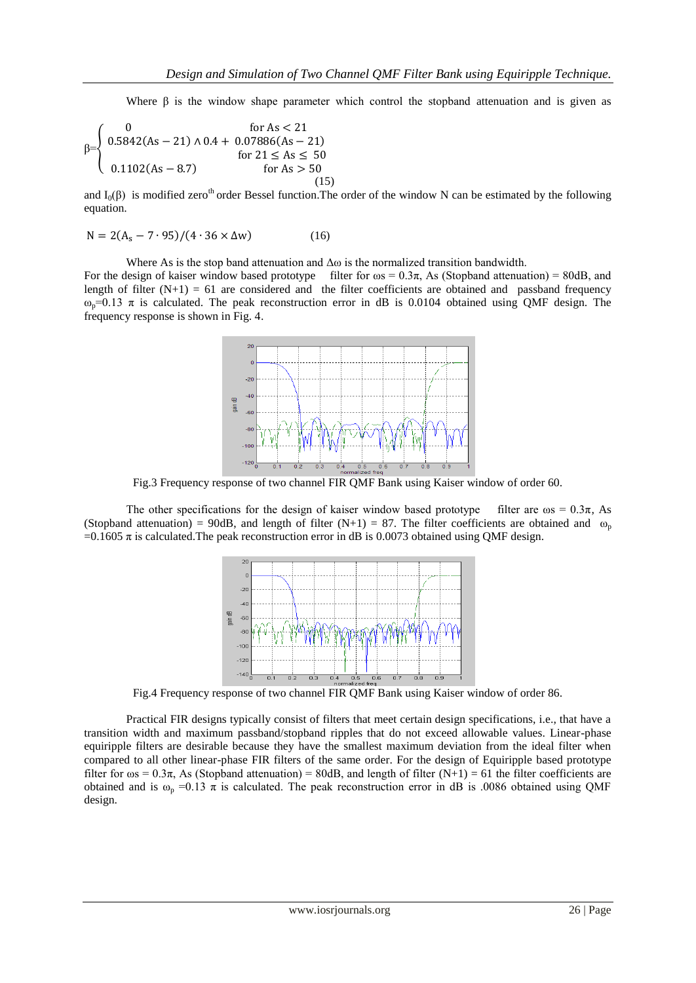Where β is the window shape parameter which control the stopband attenuation and is given as

$$
\beta = \begin{cases}\n0 & \text{for As} < 21 \\
0.5842(As - 21) \land 0.4 + 0.07886(As - 21) \\
 & \text{for } 21 \le As \le 50 \\
0.1102(As - 8.7) & \text{for } As > 50\n\end{cases}
$$
\n(15)

and  $I_0(\beta)$  is modified zero<sup>th</sup> order Bessel function. The order of the window N can be estimated by the following equation.

$$
N = 2(A_s - 7.95)/(4.36 \times \Delta w)
$$
 (16)

Where As is the stop band attenuation and  $\Delta\omega$  is the normalized transition bandwidth.

For the design of kaiser window based prototype filter for  $\omega s = 0.3\pi$ , As (Stopband attenuation) = 80dB, and length of filter  $(N+1) = 61$  are considered and the filter coefficients are obtained and passband frequency  $ω_p=0.13$  π is calculated. The peak reconstruction error in dB is 0.0104 obtained using QMF design. The frequency response is shown in Fig. 4.



Fig.3 Frequency response of two channel FIR QMF Bank using Kaiser window of order 60.

The other specifications for the design of kaiser window based prototype filter are  $\omega s = 0.3\pi$ , As (Stopband attenuation) = 90dB, and length of filter (N+1) = 87. The filter coefficients are obtained and  $\omega_p$  $=0.1605 \pi$  is calculated. The peak reconstruction error in dB is 0.0073 obtained using QMF design.



Fig.4 Frequency response of two channel FIR QMF Bank using Kaiser window of order 86.

Practical FIR designs typically consist of filters that meet certain design specifications, i.e., that have a transition width and maximum passband/stopband ripples that do not exceed allowable values. Linear-phase equiripple filters are desirable because they have the smallest maximum deviation from the ideal filter when compared to all other linear-phase FIR filters of the same order. For the design of Equiripple based prototype filter for  $\omega$ s = 0.3 $\pi$ , As (Stopband attenuation) = 80dB, and length of filter (N+1) = 61 the filter coefficients are obtained and is  $\omega_p = 0.13 \pi$  is calculated. The peak reconstruction error in dB is .0086 obtained using QMF design.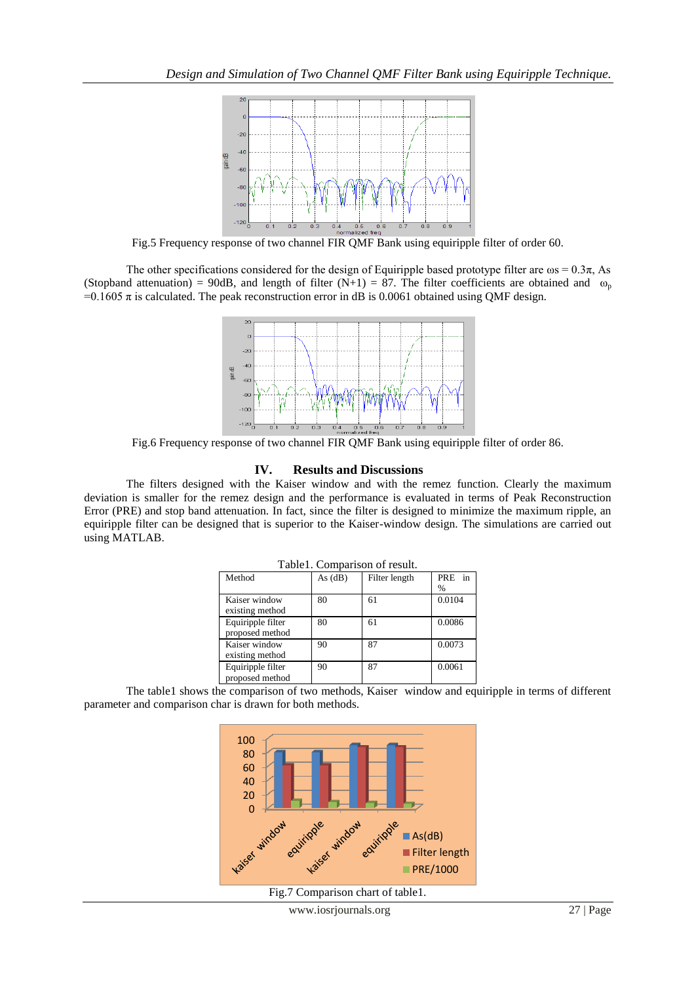

Fig.5 Frequency response of two channel FIR QMF Bank using equiripple filter of order 60.

The other specifications considered for the design of Equiripple based prototype filter are  $\omega$ s = 0.3 $\pi$ , As (Stopband attenuation) = 90dB, and length of filter (N+1) = 87. The filter coefficients are obtained and  $\omega_p$  $=0.1605 \pi$  is calculated. The peak reconstruction error in dB is 0.0061 obtained using QMF design.



Fig.6 Frequency response of two channel FIR QMF Bank using equiripple filter of order 86.

### **IV. Results and Discussions**

The filters designed with the Kaiser window and with the remez function. Clearly the maximum deviation is smaller for the remez design and the performance is evaluated in terms of Peak Reconstruction Error (PRE) and stop band attenuation. In fact, since the filter is designed to minimize the maximum ripple, an equiripple filter can be designed that is superior to the Kaiser-window design. The simulations are carried out using MATLAB.

| I abiel. Comparison of result. |           |               |        |
|--------------------------------|-----------|---------------|--------|
| Method                         | As $(dB)$ | Filter length | PRE in |
|                                |           |               | $\%$   |
| Kaiser window                  | 80        | 61            | 0.0104 |
| existing method                |           |               |        |
| Equiripple filter              | 80        | 61            | 0.0086 |
| proposed method                |           |               |        |
| Kaiser window                  | 90        | 87            | 0.0073 |
| existing method                |           |               |        |
| Equiripple filter              | 90        | 87            | 0.0061 |
| proposed method                |           |               |        |

Table1. Comparison of result.

The table1 shows the comparison of two methods, Kaiser window and equiripple in terms of different parameter and comparison char is drawn for both methods.



Fig.7 Comparison chart of table1.